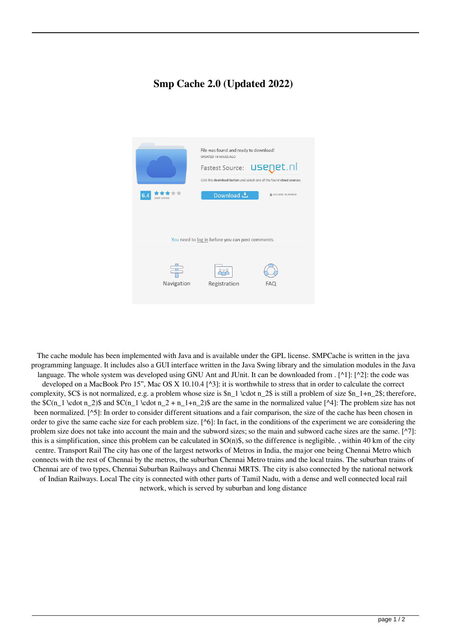## **Smp Cache 2.0 (Updated 2022)**



The cache module has been implemented with Java and is available under the GPL license. SMPCache is written in the java programming language. It includes also a GUI interface written in the Java Swing library and the simulation modules in the Java language. The whole system was developed using GNU Ant and JUnit. It can be downloaded from . [^1]: [^2]: the code was developed on a MacBook Pro 15", Mac OS X 10.10.4 [^3]: it is worthwhile to stress that in order to calculate the correct complexity,  $SC\$  is not normalized, e.g. a problem whose size is  $\text{\$n_1\}$  \cdot n\_2\$ is still a problem of size  $\text{\$n_1+n_2$; therefore,}$ the  $SC(n_1 \cdot 2)$  and  $SC(n_1 \cdot 2 + n_1+n_2)$  are the same in the normalized value [^4]: The problem size has not been normalized. [^5]: In order to consider different situations and a fair comparison, the size of the cache has been chosen in order to give the same cache size for each problem size. [^6]: In fact, in the conditions of the experiment we are considering the problem size does not take into account the main and the subword sizes; so the main and subword cache sizes are the same. [^7]: this is a simplification, since this problem can be calculated in  $\mathcal{S}O(n)\mathcal{S}$ , so the difference is negligible. , within 40 km of the city centre. Transport Rail The city has one of the largest networks of Metros in India, the major one being Chennai Metro which connects with the rest of Chennai by the metros, the suburban Chennai Metro trains and the local trains. The suburban trains of Chennai are of two types, Chennai Suburban Railways and Chennai MRTS. The city is also connected by the national network of Indian Railways. Local The city is connected with other parts of Tamil Nadu, with a dense and well connected local rail network, which is served by suburban and long distance